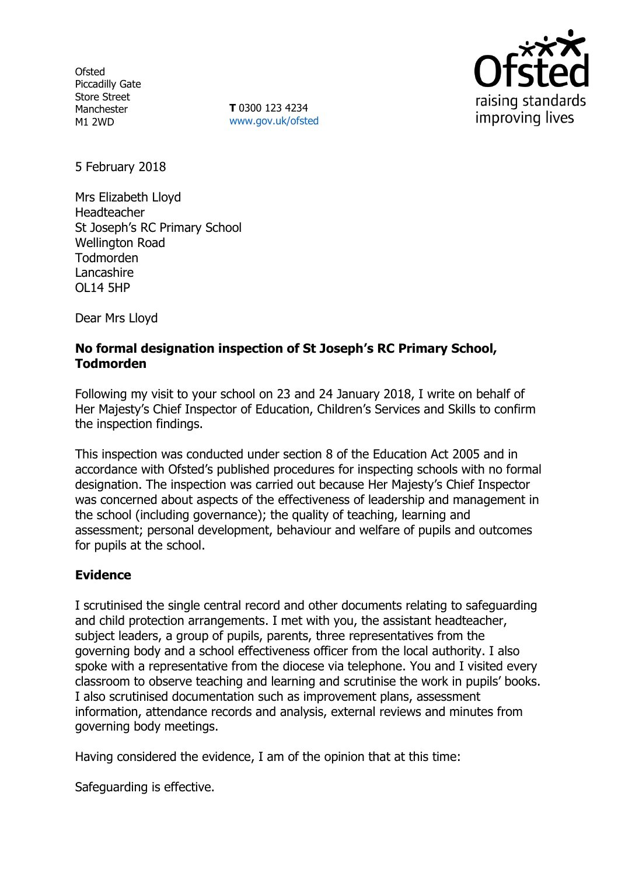**Ofsted** Piccadilly Gate Store Street Manchester M1 2WD

**T** 0300 123 4234 www.gov.uk/ofsted



5 February 2018

Mrs Elizabeth Lloyd Headteacher St Joseph's RC Primary School Wellington Road Todmorden **Lancashire** OL14 5HP

Dear Mrs Lloyd

# **No formal designation inspection of St Joseph's RC Primary School, Todmorden**

Following my visit to your school on 23 and 24 January 2018, I write on behalf of Her Majesty's Chief Inspector of Education, Children's Services and Skills to confirm the inspection findings.

This inspection was conducted under section 8 of the Education Act 2005 and in accordance with Ofsted's published procedures for inspecting schools with no formal designation. The inspection was carried out because Her Majesty's Chief Inspector was concerned about aspects of the effectiveness of leadership and management in the school (including governance); the quality of teaching, learning and assessment; personal development, behaviour and welfare of pupils and outcomes for pupils at the school.

## **Evidence**

I scrutinised the single central record and other documents relating to safeguarding and child protection arrangements. I met with you, the assistant headteacher, subject leaders, a group of pupils, parents, three representatives from the governing body and a school effectiveness officer from the local authority. I also spoke with a representative from the diocese via telephone. You and I visited every classroom to observe teaching and learning and scrutinise the work in pupils' books. I also scrutinised documentation such as improvement plans, assessment information, attendance records and analysis, external reviews and minutes from governing body meetings.

Having considered the evidence, I am of the opinion that at this time:

Safeguarding is effective.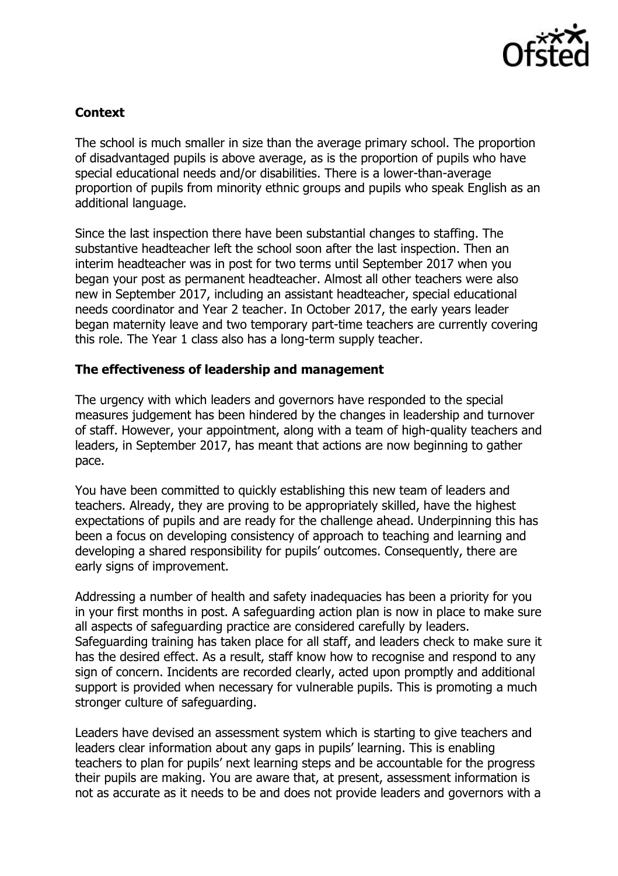

# **Context**

The school is much smaller in size than the average primary school. The proportion of disadvantaged pupils is above average, as is the proportion of pupils who have special educational needs and/or disabilities. There is a lower-than-average proportion of pupils from minority ethnic groups and pupils who speak English as an additional language.

Since the last inspection there have been substantial changes to staffing. The substantive headteacher left the school soon after the last inspection. Then an interim headteacher was in post for two terms until September 2017 when you began your post as permanent headteacher. Almost all other teachers were also new in September 2017, including an assistant headteacher, special educational needs coordinator and Year 2 teacher. In October 2017, the early years leader began maternity leave and two temporary part-time teachers are currently covering this role. The Year 1 class also has a long-term supply teacher.

## **The effectiveness of leadership and management**

The urgency with which leaders and governors have responded to the special measures judgement has been hindered by the changes in leadership and turnover of staff. However, your appointment, along with a team of high-quality teachers and leaders, in September 2017, has meant that actions are now beginning to gather pace.

You have been committed to quickly establishing this new team of leaders and teachers. Already, they are proving to be appropriately skilled, have the highest expectations of pupils and are ready for the challenge ahead. Underpinning this has been a focus on developing consistency of approach to teaching and learning and developing a shared responsibility for pupils' outcomes. Consequently, there are early signs of improvement.

Addressing a number of health and safety inadequacies has been a priority for you in your first months in post. A safeguarding action plan is now in place to make sure all aspects of safeguarding practice are considered carefully by leaders. Safeguarding training has taken place for all staff, and leaders check to make sure it has the desired effect. As a result, staff know how to recognise and respond to any sign of concern. Incidents are recorded clearly, acted upon promptly and additional support is provided when necessary for vulnerable pupils. This is promoting a much stronger culture of safeguarding.

Leaders have devised an assessment system which is starting to give teachers and leaders clear information about any gaps in pupils' learning. This is enabling teachers to plan for pupils' next learning steps and be accountable for the progress their pupils are making. You are aware that, at present, assessment information is not as accurate as it needs to be and does not provide leaders and governors with a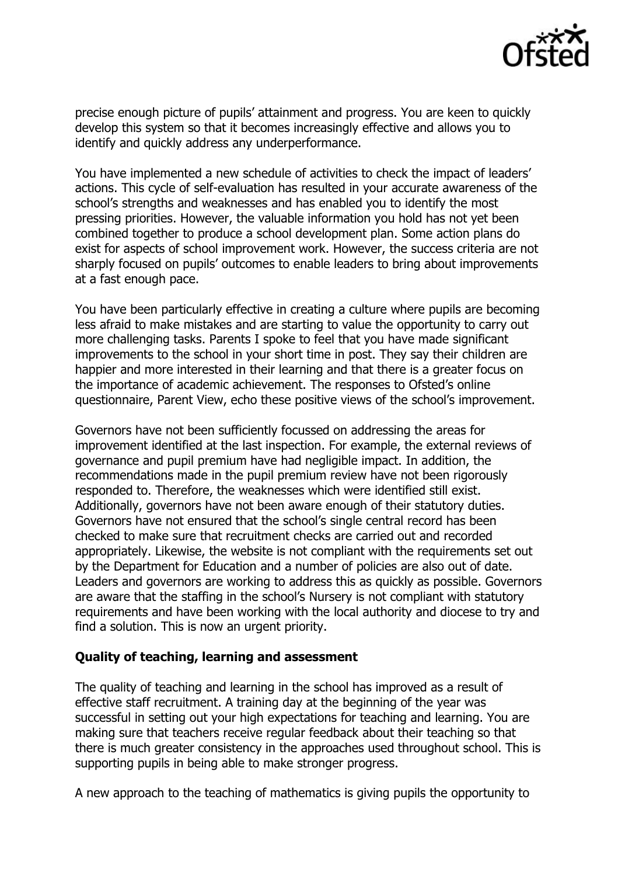

precise enough picture of pupils' attainment and progress. You are keen to quickly develop this system so that it becomes increasingly effective and allows you to identify and quickly address any underperformance.

You have implemented a new schedule of activities to check the impact of leaders' actions. This cycle of self-evaluation has resulted in your accurate awareness of the school's strengths and weaknesses and has enabled you to identify the most pressing priorities. However, the valuable information you hold has not yet been combined together to produce a school development plan. Some action plans do exist for aspects of school improvement work. However, the success criteria are not sharply focused on pupils' outcomes to enable leaders to bring about improvements at a fast enough pace.

You have been particularly effective in creating a culture where pupils are becoming less afraid to make mistakes and are starting to value the opportunity to carry out more challenging tasks. Parents I spoke to feel that you have made significant improvements to the school in your short time in post. They say their children are happier and more interested in their learning and that there is a greater focus on the importance of academic achievement. The responses to Ofsted's online questionnaire, Parent View, echo these positive views of the school's improvement.

Governors have not been sufficiently focussed on addressing the areas for improvement identified at the last inspection. For example, the external reviews of governance and pupil premium have had negligible impact. In addition, the recommendations made in the pupil premium review have not been rigorously responded to. Therefore, the weaknesses which were identified still exist. Additionally, governors have not been aware enough of their statutory duties. Governors have not ensured that the school's single central record has been checked to make sure that recruitment checks are carried out and recorded appropriately. Likewise, the website is not compliant with the requirements set out by the Department for Education and a number of policies are also out of date. Leaders and governors are working to address this as quickly as possible. Governors are aware that the staffing in the school's Nursery is not compliant with statutory requirements and have been working with the local authority and diocese to try and find a solution. This is now an urgent priority.

#### **Quality of teaching, learning and assessment**

The quality of teaching and learning in the school has improved as a result of effective staff recruitment. A training day at the beginning of the year was successful in setting out your high expectations for teaching and learning. You are making sure that teachers receive regular feedback about their teaching so that there is much greater consistency in the approaches used throughout school. This is supporting pupils in being able to make stronger progress.

A new approach to the teaching of mathematics is giving pupils the opportunity to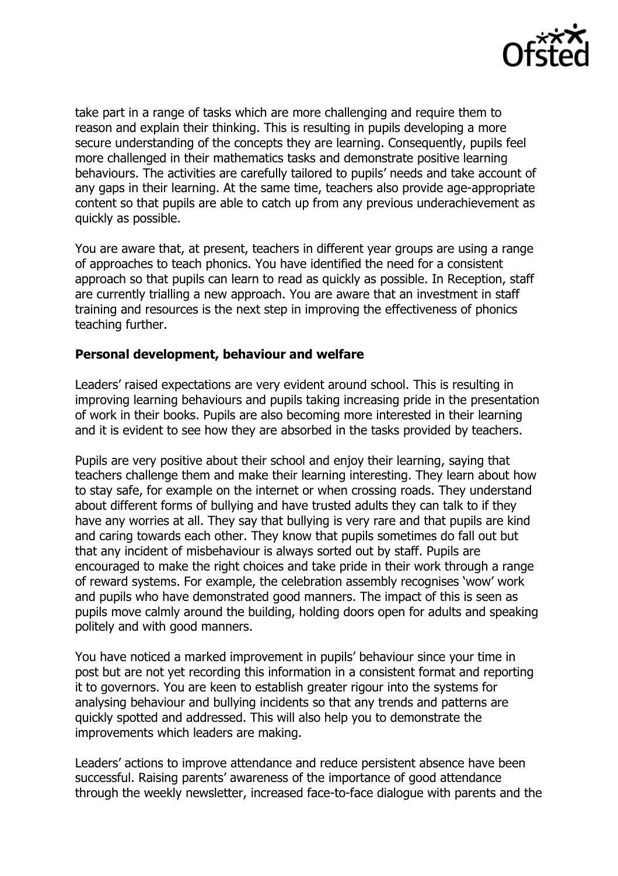

take part in a range of tasks which are more challenging and require them to reason and explain their thinking. This is resulting in pupils developing a more secure understanding of the concepts they are learning. Consequently, pupils feel more challenged in their mathematics tasks and demonstrate positive learning behaviours. The activities are carefully tailored to pupils' needs and take account of any gaps in their learning. At the same time, teachers also provide age-appropriate content so that pupils are able to catch up from any previous underachievement as quickly as possible.

You are aware that, at present, teachers in different year groups are using a range of approaches to teach phonics. You have identified the need for a consistent approach so that pupils can learn to read as quickly as possible. In Reception, staff are currently trialling a new approach. You are aware that an investment in staff training and resources is the next step in improving the effectiveness of phonics teaching further.

### **Personal development, behaviour and welfare**

Leaders' raised expectations are very evident around school. This is resulting in improving learning behaviours and pupils taking increasing pride in the presentation of work in their books. Pupils are also becoming more interested in their learning and it is evident to see how they are absorbed in the tasks provided by teachers.

Pupils are very positive about their school and enjoy their learning, saying that teachers challenge them and make their learning interesting. They learn about how to stay safe, for example on the internet or when crossing roads. They understand about different forms of bullying and have trusted adults they can talk to if they have any worries at all. They say that bullying is very rare and that pupils are kind and caring towards each other. They know that pupils sometimes do fall out but that any incident of misbehaviour is always sorted out by staff. Pupils are encouraged to make the right choices and take pride in their work through a range of reward systems. For example, the celebration assembly recognises 'wow' work and pupils who have demonstrated good manners. The impact of this is seen as pupils move calmly around the building, holding doors open for adults and speaking politely and with good manners.

You have noticed a marked improvement in pupils' behaviour since your time in post but are not yet recording this information in a consistent format and reporting it to governors. You are keen to establish greater rigour into the systems for analysing behaviour and bullying incidents so that any trends and patterns are quickly spotted and addressed. This will also help you to demonstrate the improvements which leaders are making.

Leaders' actions to improve attendance and reduce persistent absence have been successful. Raising parents' awareness of the importance of good attendance through the weekly newsletter, increased face-to-face dialogue with parents and the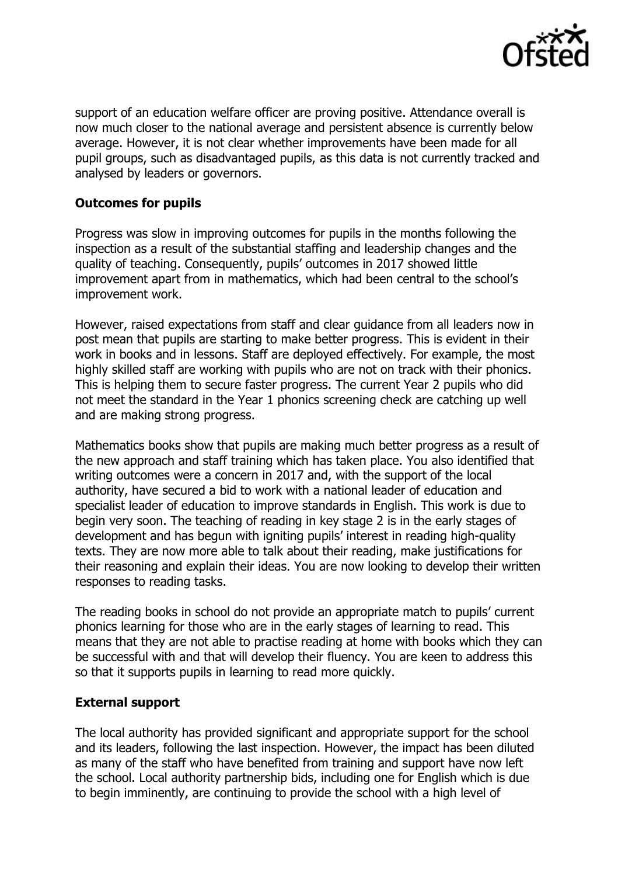

support of an education welfare officer are proving positive. Attendance overall is now much closer to the national average and persistent absence is currently below average. However, it is not clear whether improvements have been made for all pupil groups, such as disadvantaged pupils, as this data is not currently tracked and analysed by leaders or governors.

## **Outcomes for pupils**

Progress was slow in improving outcomes for pupils in the months following the inspection as a result of the substantial staffing and leadership changes and the quality of teaching. Consequently, pupils' outcomes in 2017 showed little improvement apart from in mathematics, which had been central to the school's improvement work.

However, raised expectations from staff and clear guidance from all leaders now in post mean that pupils are starting to make better progress. This is evident in their work in books and in lessons. Staff are deployed effectively. For example, the most highly skilled staff are working with pupils who are not on track with their phonics. This is helping them to secure faster progress. The current Year 2 pupils who did not meet the standard in the Year 1 phonics screening check are catching up well and are making strong progress.

Mathematics books show that pupils are making much better progress as a result of the new approach and staff training which has taken place. You also identified that writing outcomes were a concern in 2017 and, with the support of the local authority, have secured a bid to work with a national leader of education and specialist leader of education to improve standards in English. This work is due to begin very soon. The teaching of reading in key stage 2 is in the early stages of development and has begun with igniting pupils' interest in reading high-quality texts. They are now more able to talk about their reading, make justifications for their reasoning and explain their ideas. You are now looking to develop their written responses to reading tasks.

The reading books in school do not provide an appropriate match to pupils' current phonics learning for those who are in the early stages of learning to read. This means that they are not able to practise reading at home with books which they can be successful with and that will develop their fluency. You are keen to address this so that it supports pupils in learning to read more quickly.

## **External support**

The local authority has provided significant and appropriate support for the school and its leaders, following the last inspection. However, the impact has been diluted as many of the staff who have benefited from training and support have now left the school. Local authority partnership bids, including one for English which is due to begin imminently, are continuing to provide the school with a high level of